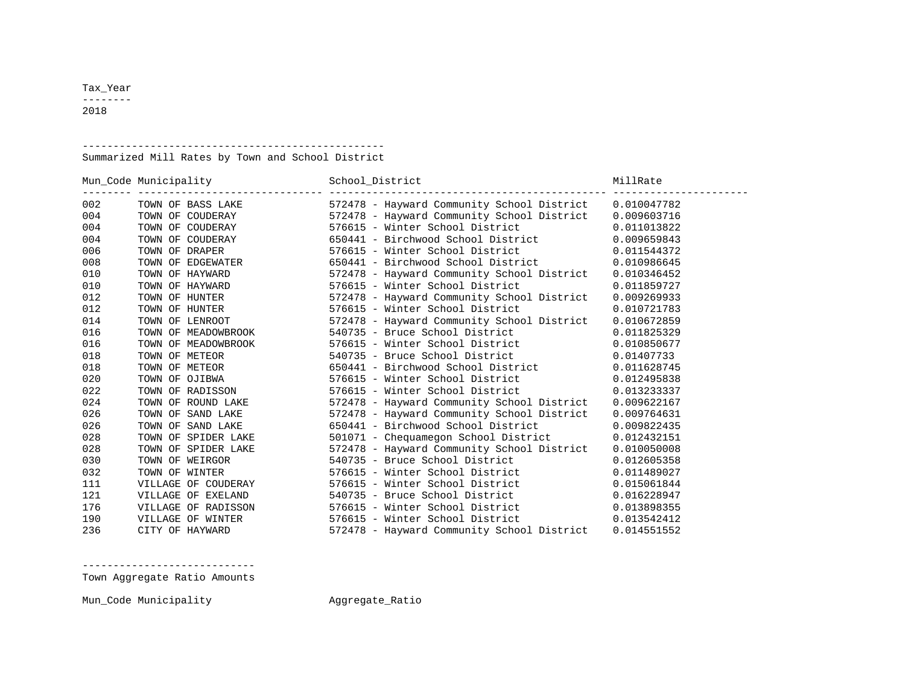# Tax\_Year

-------- 2018

### -------------------------------------------------

Summarized Mill Rates by Town and School District

|     |                                                             | 002 TOWN OF BASS LAKE 572478 - Hayward Community School District 0.010047782<br>004 TOWN OF COUDERAY 572478 - Hayward Community School District 0.009603716<br>004 TOWN OF COUDERAY 576615 - Winter School District 0.011013822<br>0 |  |
|-----|-------------------------------------------------------------|--------------------------------------------------------------------------------------------------------------------------------------------------------------------------------------------------------------------------------------|--|
|     |                                                             |                                                                                                                                                                                                                                      |  |
|     |                                                             |                                                                                                                                                                                                                                      |  |
|     |                                                             |                                                                                                                                                                                                                                      |  |
| 006 | TOWN OF DRAPER<br>TOWN OF EDGEWATER                         | 576615 - Winter School District 0.011544372                                                                                                                                                                                          |  |
| 008 |                                                             | 650441 - Birchwood School District 0.010986645                                                                                                                                                                                       |  |
| 010 | TOWN OF HAYWARD                                             | 572478 - Hayward Community School District 0.010346452                                                                                                                                                                               |  |
| 010 | TOWN OF HAYWARD                                             | 576615 - Winter School District 0.011859727                                                                                                                                                                                          |  |
| 012 |                                                             | 572478 - Hayward Community School District 0.009269933                                                                                                                                                                               |  |
| 012 | TOWN OF HUNTER<br>TOWN OF HUNTER                            | 576615 - Winter School District 0.010721783<br>572478 - Hayward Community School District 0.010672859                                                                                                                                |  |
| 014 | TOWN OF LENROOT                                             |                                                                                                                                                                                                                                      |  |
| 016 | TOWN OF MEADOWBROOK<br>TOWN OF MEADOWBROOK                  | 540735 - Bruce School District 0.011825329                                                                                                                                                                                           |  |
| 016 |                                                             | 576615 - Winter School District 0.010850677                                                                                                                                                                                          |  |
| 018 | TOWN OF METEOR                                              | 540735 - Bruce School District 0.01407733                                                                                                                                                                                            |  |
| 018 | TOWN OF METEOR                                              | 650441 - Birchwood School District 0.011628745                                                                                                                                                                                       |  |
| 020 | TOWN OF OJIBWA                                              | 576615 - Winter School District 0.012495838                                                                                                                                                                                          |  |
| 022 | TOWN OF RADISSON<br>TOWN OF ROUND LAKE<br>TOWN OF SAND LAKE | 576615 - Winter School District 0.013233337                                                                                                                                                                                          |  |
| 024 |                                                             | 572478 - Hayward Community School District 0.009622167                                                                                                                                                                               |  |
| 026 |                                                             | 572478 - Hayward Community School District 0.009764631                                                                                                                                                                               |  |
| 026 | TOWN OF SAND LAKE                                           | $650441$ - Birchwood School District 0.009822435                                                                                                                                                                                     |  |
| 028 | TOWN OF SPIDER LAKE                                         | 501071 - Chequamegon School District 0.012432151                                                                                                                                                                                     |  |
| 028 | TOWN OF SPIDER LAKE<br>TOWN OF WEIRGOR                      | 572478 - Hayward Community School District 0.010050008                                                                                                                                                                               |  |
| 030 |                                                             | 540735 - Bruce School District 0.012605358                                                                                                                                                                                           |  |
| 032 | TOWN OF WINTER                                              | 576615 - Winter School District 6.011489027                                                                                                                                                                                          |  |
| 111 | VILLAGE OF COUDERAY                                         | 576615 - Winter School District 0.015061844                                                                                                                                                                                          |  |
| 121 | VILLAGE OF EXELAND                                          | 540735 - Bruce School District 0.016228947                                                                                                                                                                                           |  |
| 176 | VILLAGE OF RADISSON                                         | 576615 - Winter School District 0.013898355                                                                                                                                                                                          |  |
| 190 | VILLAGE OF WINTER                                           | 576615 - Winter School District 0.013542412                                                                                                                                                                                          |  |
| 236 | CITY OF HAYWARD                                             | 572478 - Hayward Community School District 0.014551552                                                                                                                                                                               |  |

#### ----------------------------

Town Aggregate Ratio Amounts

Mun\_Code Municipality Munageregate\_Ratio